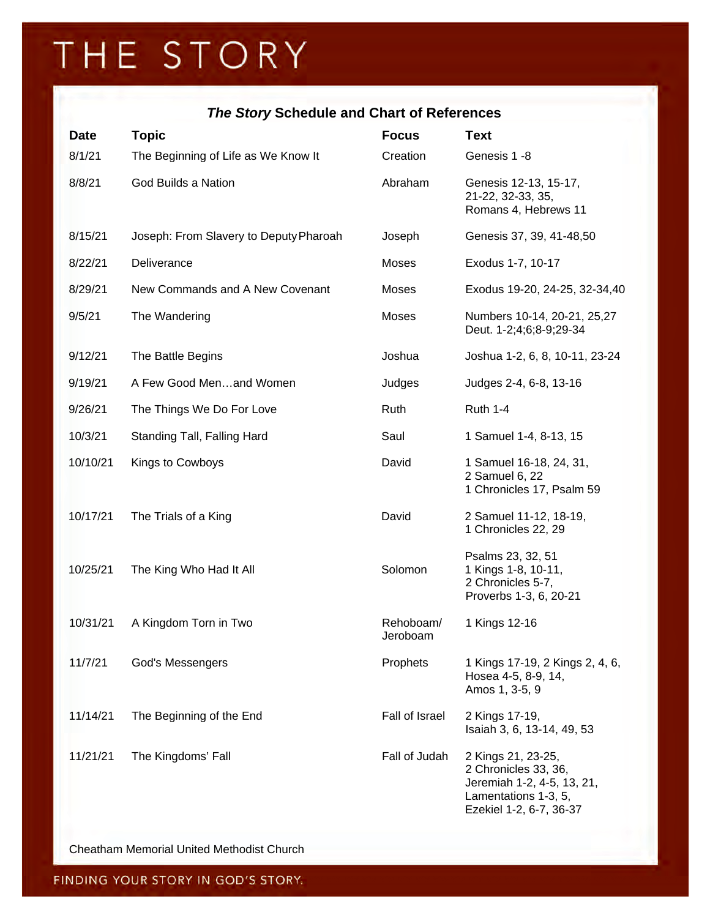## THE STORY

## *The Story* **Schedule and Chart of References**

| <b>Date</b> | <b>Topic</b>                           | <b>Focus</b>          | <b>Text</b>                                                                                                                 |
|-------------|----------------------------------------|-----------------------|-----------------------------------------------------------------------------------------------------------------------------|
| 8/1/21      | The Beginning of Life as We Know It    | Creation              | Genesis 1 -8                                                                                                                |
| 8/8/21      | God Builds a Nation                    | Abraham               | Genesis 12-13, 15-17,<br>21-22, 32-33, 35,<br>Romans 4, Hebrews 11                                                          |
| 8/15/21     | Joseph: From Slavery to Deputy Pharoah | Joseph                | Genesis 37, 39, 41-48,50                                                                                                    |
| 8/22/21     | Deliverance                            | <b>Moses</b>          | Exodus 1-7, 10-17                                                                                                           |
| 8/29/21     | New Commands and A New Covenant        | Moses                 | Exodus 19-20, 24-25, 32-34,40                                                                                               |
| 9/5/21      | The Wandering                          | Moses                 | Numbers 10-14, 20-21, 25,27<br>Deut. 1-2;4;6;8-9;29-34                                                                      |
| 9/12/21     | The Battle Begins                      | Joshua                | Joshua 1-2, 6, 8, 10-11, 23-24                                                                                              |
| 9/19/21     | A Few Good Menand Women                | Judges                | Judges 2-4, 6-8, 13-16                                                                                                      |
| 9/26/21     | The Things We Do For Love              | Ruth                  | <b>Ruth 1-4</b>                                                                                                             |
| 10/3/21     | Standing Tall, Falling Hard            | Saul                  | 1 Samuel 1-4, 8-13, 15                                                                                                      |
| 10/10/21    | Kings to Cowboys                       | David                 | 1 Samuel 16-18, 24, 31,<br>2 Samuel 6, 22<br>1 Chronicles 17, Psalm 59                                                      |
| 10/17/21    | The Trials of a King                   | David                 | 2 Samuel 11-12, 18-19,<br>1 Chronicles 22, 29                                                                               |
| 10/25/21    | The King Who Had It All                | Solomon               | Psalms 23, 32, 51<br>1 Kings 1-8, 10-11,<br>2 Chronicles 5-7,<br>Proverbs 1-3, 6, 20-21                                     |
| 10/31/21    | A Kingdom Torn in Two                  | Rehoboam/<br>Jeroboam | 1 Kings 12-16                                                                                                               |
| 11/7/21     | God's Messengers                       | Prophets              | 1 Kings 17-19, 2 Kings 2, 4, 6,<br>Hosea 4-5, 8-9, 14,<br>Amos 1, 3-5, 9                                                    |
| 11/14/21    | The Beginning of the End               | Fall of Israel        | 2 Kings 17-19,<br>Isaiah 3, 6, 13-14, 49, 53                                                                                |
| 11/21/21    | The Kingdoms' Fall                     | Fall of Judah         | 2 Kings 21, 23-25,<br>2 Chronicles 33, 36,<br>Jeremiah 1-2, 4-5, 13, 21,<br>Lamentations 1-3, 5,<br>Ezekiel 1-2, 6-7, 36-37 |

Cheatham Memorial United Methodist Church